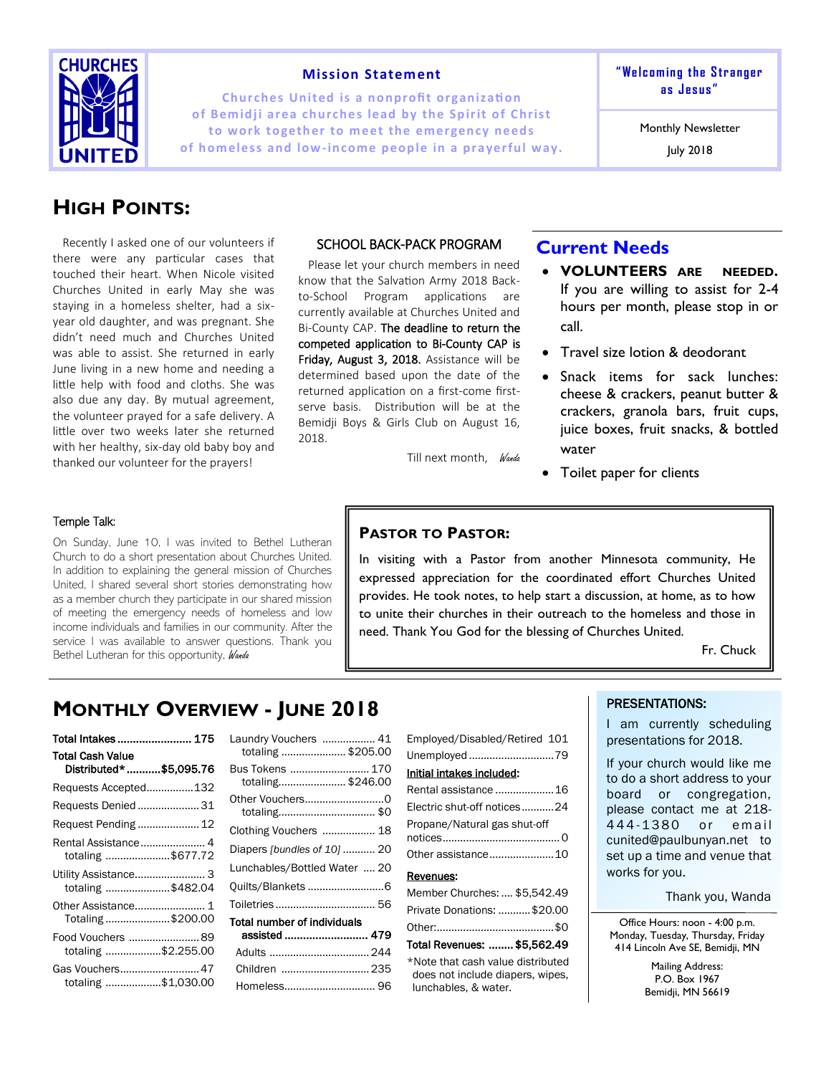

### **Mission Statement**

**Churches United is a nonprofit organization of Bem id ji ar ea churches lead by the Sp ir it of Christ**  to work together to meet the emergency needs of homeless and low-income people in a prayerful way. **" We lc om in g t he S tr a nger as J es us "**

Monthly Newsletter

July 2018

# **HIGH POINTS:**

Recently I asked one of our volunteers if there were any particular cases that touched their heart. When Nicole visited Churches United in early May she was staying in a homeless shelter, had a sixyear old daughter, and was pregnant. She didn't need much and Churches United was able to assist. She returned in early June living in a new home and needing a little help with food and cloths. She was also due any day. By mutual agreement, the volunteer prayed for a safe delivery. A little over two weeks later she returned with her healthy, six-day old baby boy and thanked our volunteer for the prayers!

### SCHOOL BACK-PACK PROGRAM

Please let your church members in need know that the Salvation Army 2018 Backto-School Program applications are currently available at Churches United and Bi-County CAP. The deadline to return the competed application to Bi-County CAP is Friday, August 3, 2018. Assistance will be determined based upon the date of the returned application on a first-come firstserve basis. Distribution will be at the Bemidji Boys & Girls Club on August 16, 2018.

Till next month, Wanda

## **Current Needs**

- **VOLUNTEERS ARE NEEDED.**  If you are willing to assist for 2-4 hours per month, please stop in or call.
- Travel size lotion & deodorant
- Snack items for sack lunches: cheese & crackers, peanut butter & crackers, granola bars, fruit cups, juice boxes, fruit snacks, & bottled water
- Toilet paper for clients

#### Temple Talk:

On Sunday, June 10, I was invited to Bethel Lutheran Church to do a short presentation about Churches United. In addition to explaining the general mission of Churches United, I shared several short stories demonstrating how as a member church they participate in our shared mission of meeting the emergency needs of homeless and low income individuals and families in our community. After the service I was available to answer questions. Thank you Bethel Lutheran for this opportunity, Wanda

### **PASTOR TO PASTOR:**

In visiting with a Pastor from another Minnesota community, He expressed appreciation for the coordinated effort Churches United provides. He took notes, to help start a discussion, at home, as to how to unite their churches in their outreach to the homeless and those in need. Thank You God for the blessing of Churches United.

Fr. Chuck

## **MONTHLY OVERVIEW - JUNE 2018**

| Total Intakes 175                                  |  |
|----------------------------------------------------|--|
| <b>Total Cash Value</b><br>Distributed* \$5,095.76 |  |
| Requests Accepted132                               |  |
| Requests Denied  31                                |  |
| Request Pending  12                                |  |
| Rental Assistance 4<br>totaling \$677.72           |  |
| Utility Assistance 3<br>totaling \$482.04          |  |
| Totaling \$200.00                                  |  |
| Food Vouchers 89<br>totaling \$2.255.00            |  |
| Gas Vouchers 47<br>totaling \$1,030.00             |  |

| Laundry Vouchers  41<br>totaling  \$205.00 |  |
|--------------------------------------------|--|
| Bus Tokens  170<br>totaling\$246.00        |  |
| Other Vouchers0<br>totaling\$0             |  |
| Clothing Vouchers  18                      |  |
| Diapers [bundles of 10]  20                |  |
| Lunchables/Bottled Water  20               |  |
| Quilts/Blankets 6                          |  |
| Toiletries  56                             |  |
| Total number of individuals                |  |
| assisted  479                              |  |
|                                            |  |
| Children  235                              |  |
|                                            |  |
|                                            |  |

| 1      | Employed/Disabled/Retired 101                                                                 |
|--------|-----------------------------------------------------------------------------------------------|
| C      | Unemployed 79                                                                                 |
| C      | Initial intakes included:                                                                     |
| C      | Rental assistance 16                                                                          |
| ົ<br>Ć | Electric shut-off notices24                                                                   |
| 3      | Propane/Natural gas shut-off                                                                  |
| C      | Other assistance10                                                                            |
| C      | Revenues:                                                                                     |
| ĉ      | Member Churches:  \$5,542.49                                                                  |
| 5      | Private Donations:  \$20.00                                                                   |
| G      |                                                                                               |
| 4      | Total Revenues:  \$5.562.49                                                                   |
| 5<br>5 | *Note that cash value distributed<br>does not include diapers, wipes,<br>lunchables, & water. |

### PRESENTATIONS:

I am currently scheduling presentations for 2018.

If your church would like me to do a short address to your board or congregation, please contact me at 218- 444-1380 or email cunited@paulbunyan.net to set up a time and venue that works for you.

Office Hours: noon - 4:00 p.m. Monday, Tuesday, Thursday, Friday 414 Lincoln Ave SE, Bemidji, MN

> Mailing Address: P.O. Box 1967 Bemidji, MN 56619

Thank you, Wanda